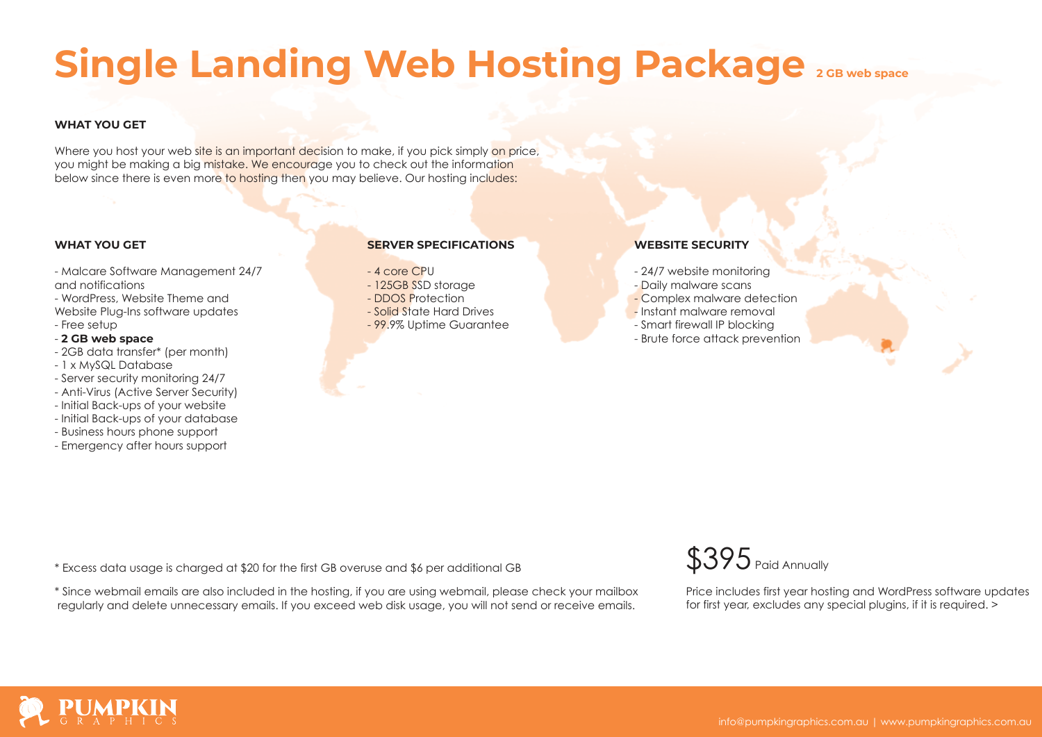# **Single Landing Web Hosting Package 2GB web space**

# **WHAT YOU GET**

Where you host your web site is an important decision to make, if you pick simply on price, you might be making a big mistake. We encourage you to check out the information below since there is even more to hosting then you may believe. Our hosting includes:

### **WHAT YOU GET**

- Malcare Software Management 24/7 and notifications

- WordPress, Website Theme and Website Plug-Ins software updates
- Free setup

# - **2 GB web space**

- 2GB data transfer\* (per month)
- 1 x MySQL Database
- Server security monitoring 24/7
- Anti-Virus (Active Server Security)
- Initial Back-ups of your website
- Initial Back-ups of your database
- Business hours phone support
- Emergency after hours support

### **SERVER SPECIFICATIONS**

### - 4 core CPU

- 125GB SSD storage
- DDOS Protection
- Solid State Hard Drives
- 99.9% Uptime Guarantee

# **WEBSITE SECURITY**

- 24/7 website monitoring - Daily malware scans
- 
- Complex malware detection
- Instant malware removal
- Smart firewall IP blocking
- Brute force attack prevention

\* Excess data usage is charged at \$20 for the first GB overuse and \$6 per additional GB  $$395$  Paid Annually

\* Since webmail emails are also included in the hosting, if you are using webmail, please check your mailbox regularly and delete unnecessary emails. If you exceed web disk usage, you will not send or receive emails.



Price includes first year hosting and WordPress software updates for first year, excludes any special plugins, if it is required. >

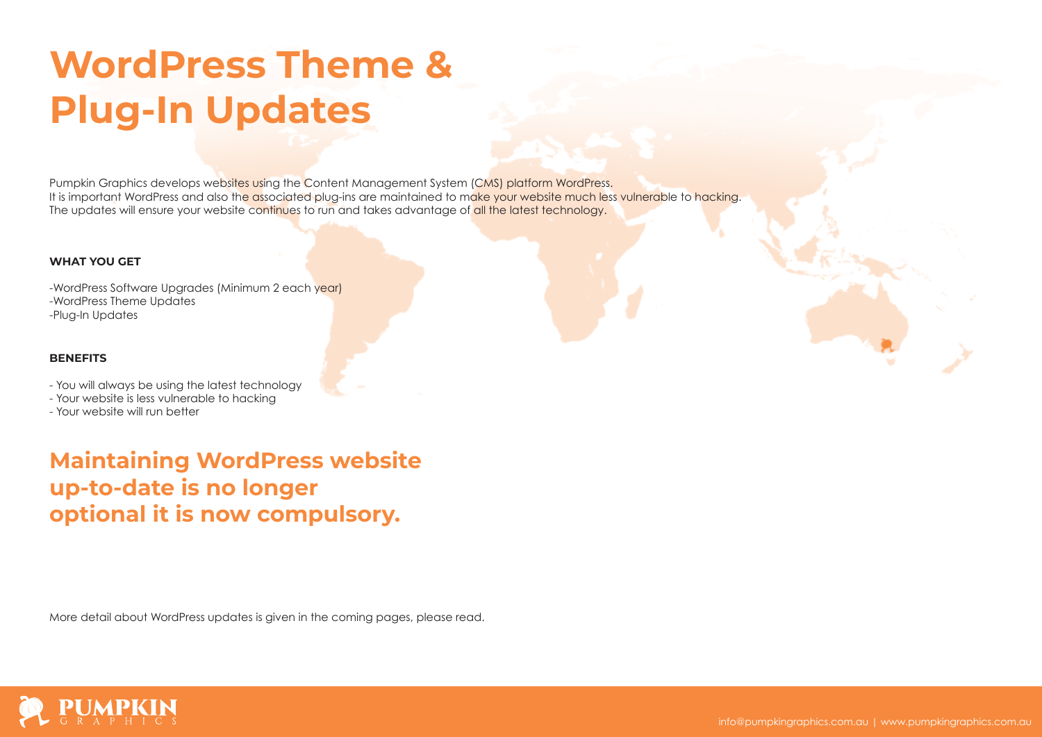# **WordPress Theme & Plug-In Updates**

Pumpkin Graphics develops websites using the Content Management System (CMS) platform WordPress. It is important WordPress and also the associated plug-ins are maintained to make your website much less vulnerable to hacking. The updates will ensure your website continues to run and takes advantage of all the latest technology.

### **WHAT YOU GET**

-WordPress Software Upgrades (Minimum 2 each year) -WordPress Theme Updates -Plug-In Updates

### **BENEFITS**

- You will always be using the latest technology

- Your website is less vulnerable to hacking
- Your website will run better

**Maintaining WordPress website up-to-date is no longer optional it is now compulsory.**

More detail about WordPress updates is given in the coming pages, please read.

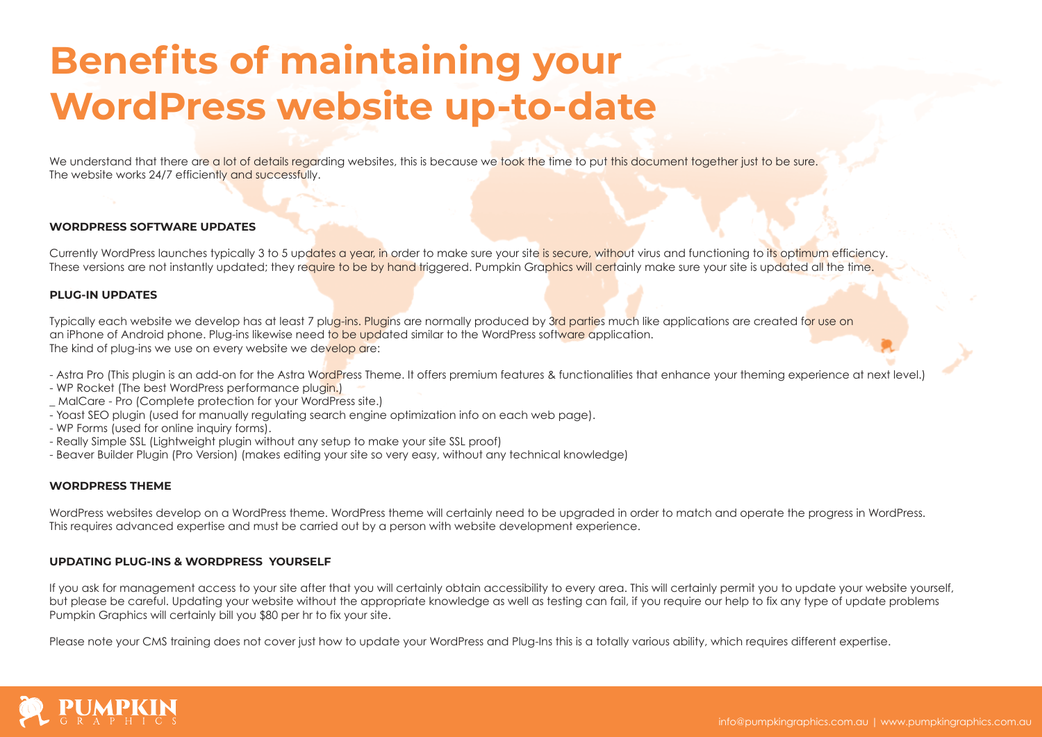# **Benefits of maintaining your WordPress website up-to-date**

We understand that there are a lot of details regarding websites, this is because we took the time to put this document together just to be sure. The website works 24/7 efficiently and successfully.

### **WORDPRESS SOFTWARE UPDATES**

Currently WordPress launches typically 3 to 5 updates a year, in order to make sure your site is secure, without virus and functioning to its optimum efficiency. These versions are not instantly updated; they require to be by hand triggered. Pumpkin Graphics will certainly make sure your site is updated all the time.

### **PLUG-IN UPDATES**

Typically each website we develop has at least 7 plug-ins. Plugins are normally produced by 3rd parties much like applications are created for use on an iPhone of Android phone. Plug-ins likewise need to be updated similar to the WordPress software application. The kind of plug-ins we use on every website we develop are:

- Astra Pro (This plugin is an add-on for the Astra WordPress Theme. It offers premium features & functionalities that enhance your theming experience at next level.)
- WP Rocket (The best WordPress performance plugin.)
- MalCare Pro (Complete protection for your WordPress site.)
- Yoast SEO plugin (used for manually regulating search engine optimization info on each web page).
- WP Forms (used for online inquiry forms).
- Really Simple SSL (Lightweight plugin without any setup to make your site SSL proof)
- Beaver Builder Plugin (Pro Version) (makes editing your site so very easy, without any technical knowledge)

#### **WORDPRESS THEME**

WordPress websites develop on a WordPress theme. WordPress theme will certainly need to be upgraded in order to match and operate the progress in WordPress. This requires advanced expertise and must be carried out by a person with website development experience.

### **UPDATING PLUG-INS & WORDPRESS YOURSELF**

If you ask for management access to your site after that you will certainly obtain accessibility to every area. This will certainly permit you to update your website yourself, but please be careful. Updating your website without the appropriate knowledge as well as testing can fail, if you require our help to fix any type of update problems Pumpkin Graphics will certainly bill you \$80 per hr to fix your site.

Please note your CMS training does not cover just how to update your WordPress and Plug-Ins this is a totally various ability, which requires different expertise.

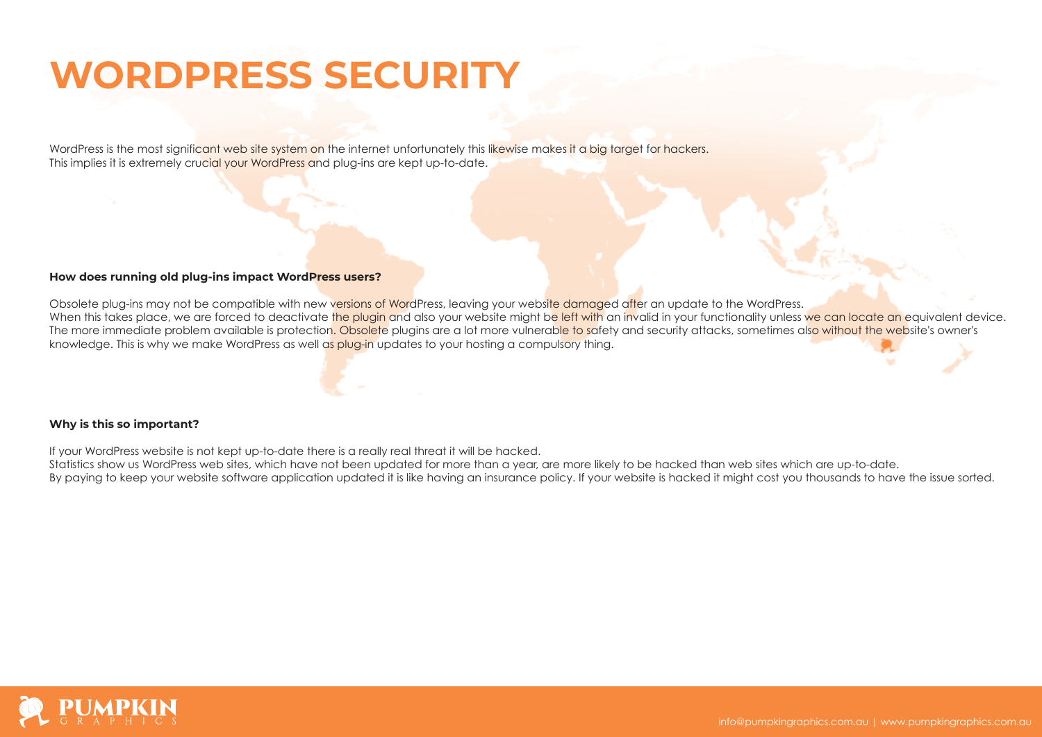# **WORDPRESS SECURITY**

WordPress is the most significant web site system on the internet unfortunately this likewise makes it a big target for hackers. This implies it is extremely crucial your WordPress and plug-ins are kept up-to-date.

### **How does running old plug-ins impact WordPress users?**

Obsolete plug-ins may not be compatible with new versions of WordPress, leaving your website damaged after an update to the WordPress. When this takes place, we are forced to deactivate the plugin and also your website might be left with an invalid in your functionality unless we can locate an equivalent device. The more immediate problem available is protection. Obsolete plugins are a lot more vulnerable to safety and security attacks, sometimes also without the website's owner's knowledge. This is why we make WordPress as well as plug-in updates to your hosting a compulsory thing.

### **Why is this so important?**

If your WordPress website is not kept up-to-date there is a really real threat it will be hacked.

Statistics show us WordPress web sites, which have not been updated for more than a year, are more likely to be hacked than web sites which are up-to-date.

By paying to keep your website software application updated it is like having an insurance policy. If your website is hacked it might cost you thousands to have the issue sorted.

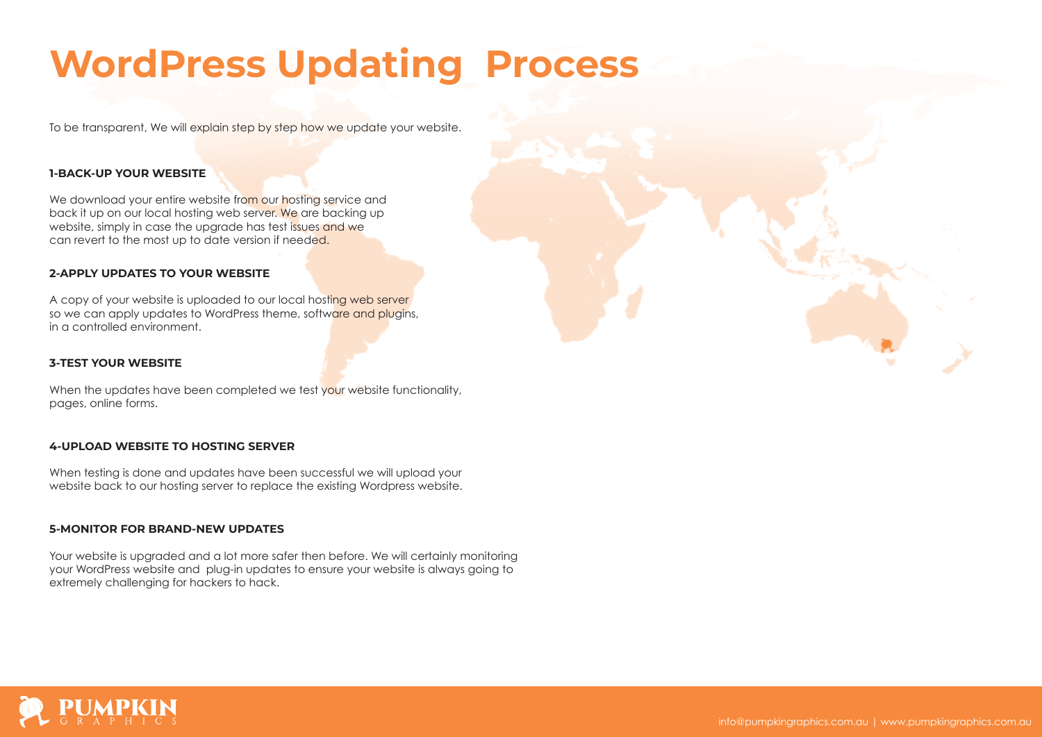# **WordPress Updating Process**

To be transparent, We will explain step by step how we update your website.

### **1-BACK-UP YOUR WEBSITE**

We download your entire website from our hosting service and back it up on our local hosting web server. We are backing up website, simply in case the upgrade has test issues and we can revert to the most up to date version if needed.

### **2-APPLY UPDATES TO YOUR WEBSITE**

A copy of your website is uploaded to our local hosting web server so we can apply updates to WordPress theme, software and plugins, in a controlled environment.

### **3-TEST YOUR WEBSITE**

When the updates have been completed we test your website functionality, pages, online forms.

### **4-UPLOAD WEBSITE TO HOSTING SERVER**

When testing is done and updates have been successful we will upload your website back to our hosting server to replace the existing Wordpress website.

### **5-MONITOR FOR BRAND-NEW UPDATES**

Your website is upgraded and a lot more safer then before. We will certainly monitoring your WordPress website and plug-in updates to ensure your website is always going to extremely challenging for hackers to hack.